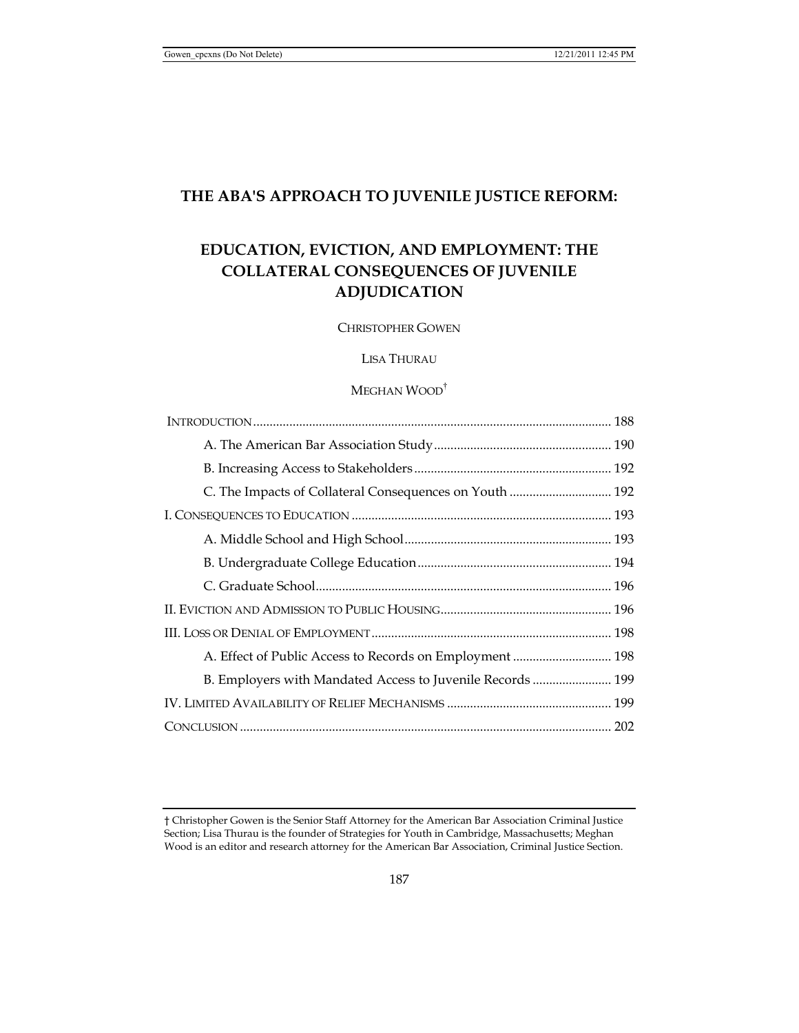# **THE ABA'S APPROACH TO JUVENILE JUSTICE REFORM:**

# **EDUCATION, EVICTION, AND EMPLOYMENT: THE COLLATERAL CONSEQUENCES OF JUVENILE ADJUDICATION**

CHRISTOPHER GOWEN

# LISA THURAU

# MEGHAN WOOD†

| C. The Impacts of Collateral Consequences on Youth  192    |  |
|------------------------------------------------------------|--|
|                                                            |  |
|                                                            |  |
|                                                            |  |
|                                                            |  |
|                                                            |  |
|                                                            |  |
|                                                            |  |
| B. Employers with Mandated Access to Juvenile Records  199 |  |
|                                                            |  |
|                                                            |  |

<sup>†</sup> Christopher Gowen is the Senior Staff Attorney for the American Bar Association Criminal Justice Section; Lisa Thurau is the founder of Strategies for Youth in Cambridge, Massachusetts; Meghan Wood is an editor and research attorney for the American Bar Association, Criminal Justice Section.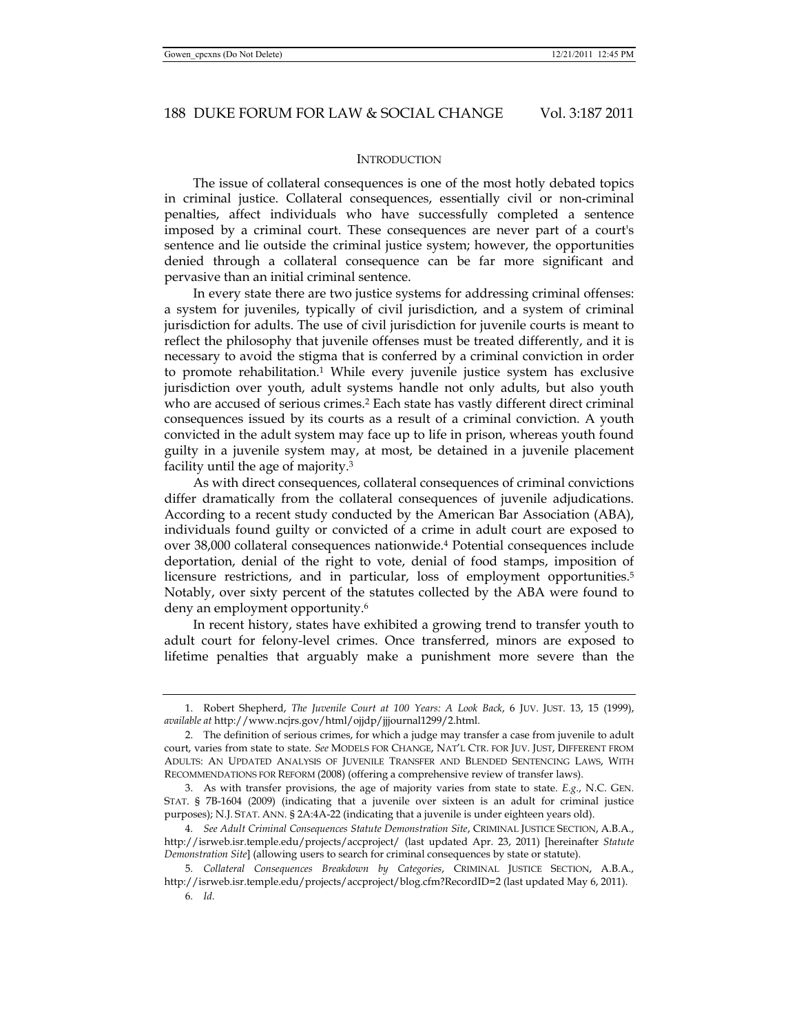# **INTRODUCTION**

The issue of collateral consequences is one of the most hotly debated topics in criminal justice. Collateral consequences, essentially civil or non-criminal penalties, affect individuals who have successfully completed a sentence imposed by a criminal court. These consequences are never part of a court's sentence and lie outside the criminal justice system; however, the opportunities denied through a collateral consequence can be far more significant and pervasive than an initial criminal sentence.

In every state there are two justice systems for addressing criminal offenses: a system for juveniles, typically of civil jurisdiction, and a system of criminal jurisdiction for adults. The use of civil jurisdiction for juvenile courts is meant to reflect the philosophy that juvenile offenses must be treated differently, and it is necessary to avoid the stigma that is conferred by a criminal conviction in order to promote rehabilitation.<sup>1</sup> While every juvenile justice system has exclusive jurisdiction over youth, adult systems handle not only adults, but also youth who are accused of serious crimes.2 Each state has vastly different direct criminal consequences issued by its courts as a result of a criminal conviction. A youth convicted in the adult system may face up to life in prison, whereas youth found guilty in a juvenile system may, at most, be detained in a juvenile placement facility until the age of majority.3

As with direct consequences, collateral consequences of criminal convictions differ dramatically from the collateral consequences of juvenile adjudications. According to a recent study conducted by the American Bar Association (ABA), individuals found guilty or convicted of a crime in adult court are exposed to over 38,000 collateral consequences nationwide.4 Potential consequences include deportation, denial of the right to vote, denial of food stamps, imposition of licensure restrictions, and in particular, loss of employment opportunities.5 Notably, over sixty percent of the statutes collected by the ABA were found to deny an employment opportunity.6

In recent history, states have exhibited a growing trend to transfer youth to adult court for felony-level crimes. Once transferred, minors are exposed to lifetime penalties that arguably make a punishment more severe than the

 <sup>1.</sup> Robert Shepherd, *The Juvenile Court at 100 Years: A Look Back*, 6 JUV. JUST. 13, 15 (1999), *available at* http://www.ncjrs.gov/html/ojjdp/jjjournal1299/2.html.

 <sup>2.</sup> The definition of serious crimes, for which a judge may transfer a case from juvenile to adult court, varies from state to state. *See* MODELS FOR CHANGE, NAT'L CTR. FOR JUV. JUST, DIFFERENT FROM ADULTS: AN UPDATED ANALYSIS OF JUVENILE TRANSFER AND BLENDED SENTENCING LAWS, WITH RECOMMENDATIONS FOR REFORM (2008) (offering a comprehensive review of transfer laws).

 <sup>3.</sup> As with transfer provisions, the age of majority varies from state to state. *E.g.*, N.C. GEN. STAT. § 7B-1604 (2009) (indicating that a juvenile over sixteen is an adult for criminal justice purposes); N.J. STAT. ANN. § 2A:4A-22 (indicating that a juvenile is under eighteen years old).

<sup>4</sup>*. See Adult Criminal Consequences Statute Demonstration Site*, CRIMINAL JUSTICE SECTION, A.B.A., http://isrweb.isr.temple.edu/projects/accproject/ (last updated Apr. 23, 2011) [hereinafter *Statute Demonstration Site*] (allowing users to search for criminal consequences by state or statute).

<sup>5</sup>*. Collateral Consequences Breakdown by Categories*, CRIMINAL JUSTICE SECTION, A.B.A., http://isrweb.isr.temple.edu/projects/accproject/blog.cfm?RecordID=2 (last updated May 6, 2011).

<sup>6</sup>*. Id.*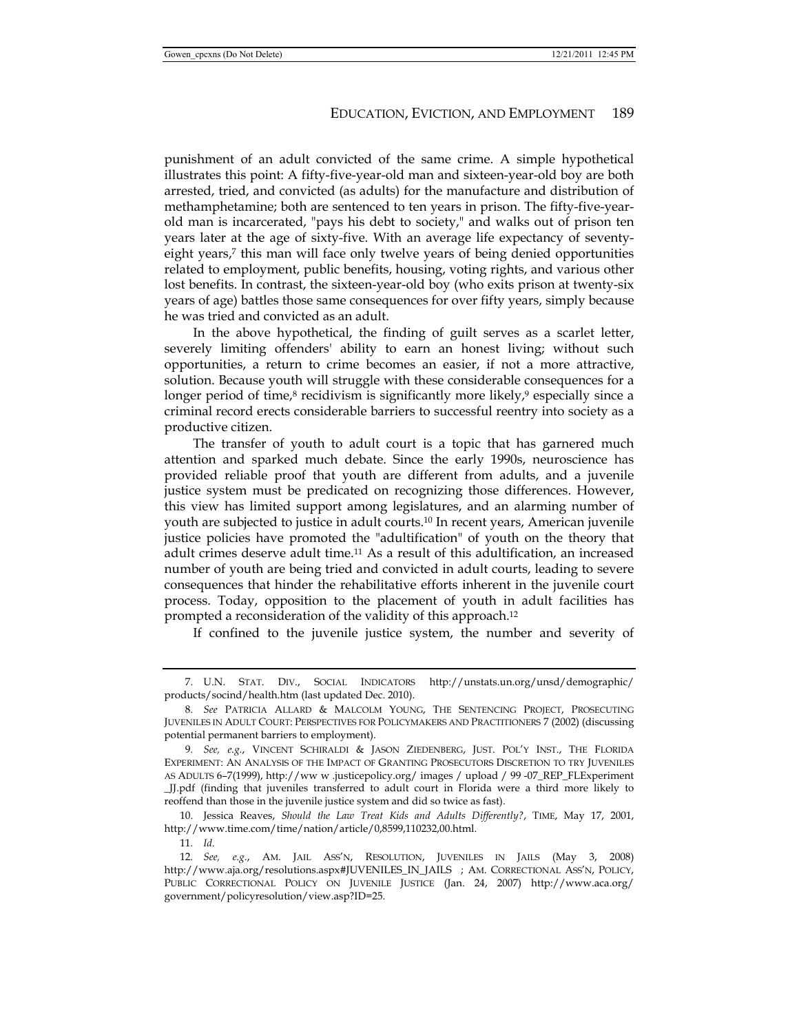punishment of an adult convicted of the same crime. A simple hypothetical illustrates this point: A fifty-five-year-old man and sixteen-year-old boy are both arrested, tried, and convicted (as adults) for the manufacture and distribution of methamphetamine; both are sentenced to ten years in prison. The fifty-five-yearold man is incarcerated, "pays his debt to society," and walks out of prison ten years later at the age of sixty-five. With an average life expectancy of seventyeight years,7 this man will face only twelve years of being denied opportunities related to employment, public benefits, housing, voting rights, and various other lost benefits. In contrast, the sixteen-year-old boy (who exits prison at twenty-six years of age) battles those same consequences for over fifty years, simply because he was tried and convicted as an adult.

In the above hypothetical, the finding of guilt serves as a scarlet letter, severely limiting offenders' ability to earn an honest living; without such opportunities, a return to crime becomes an easier, if not a more attractive, solution. Because youth will struggle with these considerable consequences for a longer period of time,<sup>8</sup> recidivism is significantly more likely,<sup>9</sup> especially since a criminal record erects considerable barriers to successful reentry into society as a productive citizen.

The transfer of youth to adult court is a topic that has garnered much attention and sparked much debate. Since the early 1990s, neuroscience has provided reliable proof that youth are different from adults, and a juvenile justice system must be predicated on recognizing those differences. However, this view has limited support among legislatures, and an alarming number of youth are subjected to justice in adult courts.10 In recent years, American juvenile justice policies have promoted the "adultification" of youth on the theory that adult crimes deserve adult time.11 As a result of this adultification, an increased number of youth are being tried and convicted in adult courts, leading to severe consequences that hinder the rehabilitative efforts inherent in the juvenile court process. Today, opposition to the placement of youth in adult facilities has prompted a reconsideration of the validity of this approach.12

If confined to the juvenile justice system, the number and severity of

 10. Jessica Reaves, *Should the Law Treat Kids and Adults Differently?*, TIME, May 17, 2001, http://www.time.com/time/nation/article/0,8599,110232,00.html.

11*. Id.*

 <sup>7.</sup> U.N. STAT. DIV., SOCIAL INDICATORS http://unstats.un.org/unsd/demographic/ products/socind/health.htm (last updated Dec. 2010).

<sup>8</sup>*. See* PATRICIA ALLARD & MALCOLM YOUNG, THE SENTENCING PROJECT, PROSECUTING JUVENILES IN ADULT COURT: PERSPECTIVES FOR POLICYMAKERS AND PRACTITIONERS 7 (2002) (discussing potential permanent barriers to employment).

<sup>9</sup>*. See, e.g.*, VINCENT SCHIRALDI & JASON ZIEDENBERG, JUST. POL'Y INST., THE FLORIDA EXPERIMENT: AN ANALYSIS OF THE IMPACT OF GRANTING PROSECUTORS DISCRETION TO TRY JUVENILES AS ADULTS 6–7(1999), http://ww w .justicepolicy.org/ images / upload / 99 -07\_REP\_FLExperiment \_JJ.pdf (finding that juveniles transferred to adult court in Florida were a third more likely to reoffend than those in the juvenile justice system and did so twice as fast).

<sup>12</sup>*. See, e.g.*, AM. JAIL ASS'N, RESOLUTION, JUVENILES IN JAILS (May 3, 2008) http://www.aja.org/resolutions.aspx#JUVENILES\_IN\_JAILS ; AM. CORRECTIONAL ASS'N, POLICY, PUBLIC CORRECTIONAL POLICY ON JUVENILE JUSTICE (Jan. 24, 2007) http://www.aca.org/ government/policyresolution/view.asp?ID=25.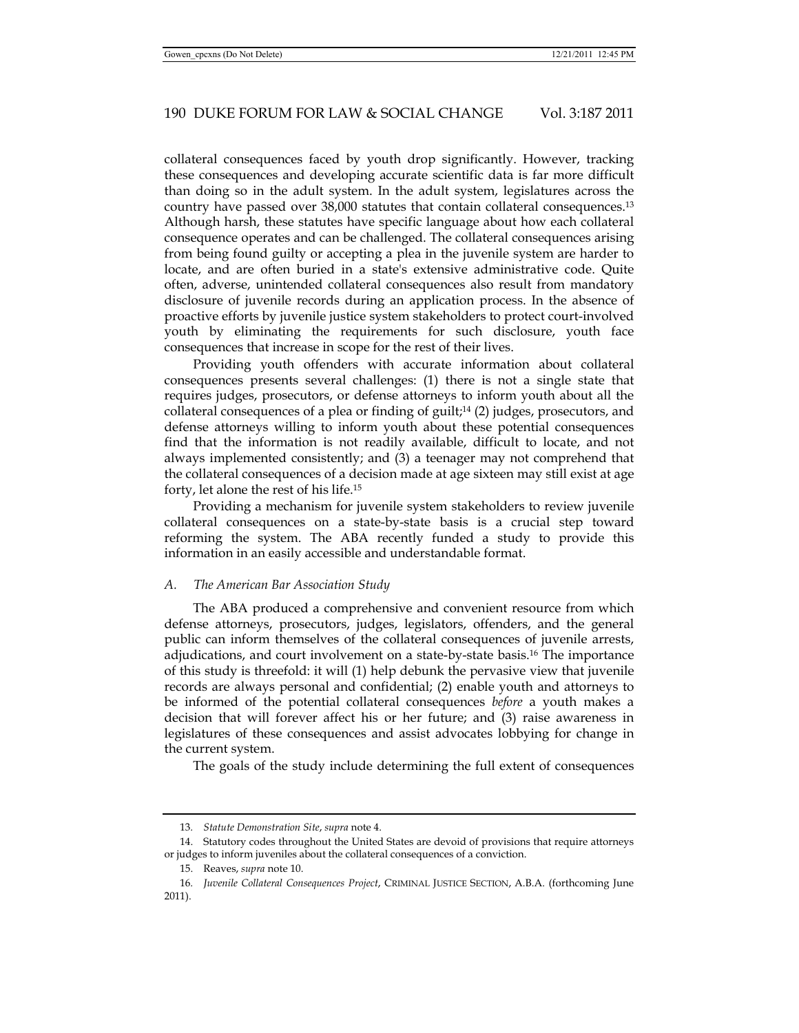collateral consequences faced by youth drop significantly. However, tracking these consequences and developing accurate scientific data is far more difficult than doing so in the adult system. In the adult system, legislatures across the country have passed over 38,000 statutes that contain collateral consequences.13 Although harsh, these statutes have specific language about how each collateral consequence operates and can be challenged. The collateral consequences arising from being found guilty or accepting a plea in the juvenile system are harder to locate, and are often buried in a state's extensive administrative code. Quite often, adverse, unintended collateral consequences also result from mandatory disclosure of juvenile records during an application process. In the absence of proactive efforts by juvenile justice system stakeholders to protect court-involved youth by eliminating the requirements for such disclosure, youth face consequences that increase in scope for the rest of their lives.

Providing youth offenders with accurate information about collateral consequences presents several challenges: (1) there is not a single state that requires judges, prosecutors, or defense attorneys to inform youth about all the collateral consequences of a plea or finding of guilt;<sup>14</sup> (2) judges, prosecutors, and defense attorneys willing to inform youth about these potential consequences find that the information is not readily available, difficult to locate, and not always implemented consistently; and (3) a teenager may not comprehend that the collateral consequences of a decision made at age sixteen may still exist at age forty, let alone the rest of his life.15

Providing a mechanism for juvenile system stakeholders to review juvenile collateral consequences on a state-by-state basis is a crucial step toward reforming the system. The ABA recently funded a study to provide this information in an easily accessible and understandable format.

#### *A. The American Bar Association Study*

The ABA produced a comprehensive and convenient resource from which defense attorneys, prosecutors, judges, legislators, offenders, and the general public can inform themselves of the collateral consequences of juvenile arrests, adjudications, and court involvement on a state-by-state basis.16 The importance of this study is threefold: it will (1) help debunk the pervasive view that juvenile records are always personal and confidential; (2) enable youth and attorneys to be informed of the potential collateral consequences *before* a youth makes a decision that will forever affect his or her future; and (3) raise awareness in legislatures of these consequences and assist advocates lobbying for change in the current system.

The goals of the study include determining the full extent of consequences

<sup>13</sup>*. Statute Demonstration Site*, *supra* note 4.

 <sup>14.</sup> Statutory codes throughout the United States are devoid of provisions that require attorneys or judges to inform juveniles about the collateral consequences of a conviction.

 <sup>15.</sup> Reaves, *supra* note 10.

<sup>16</sup>*. Juvenile Collateral Consequences Project*, CRIMINAL JUSTICE SECTION, A.B.A. (forthcoming June 2011).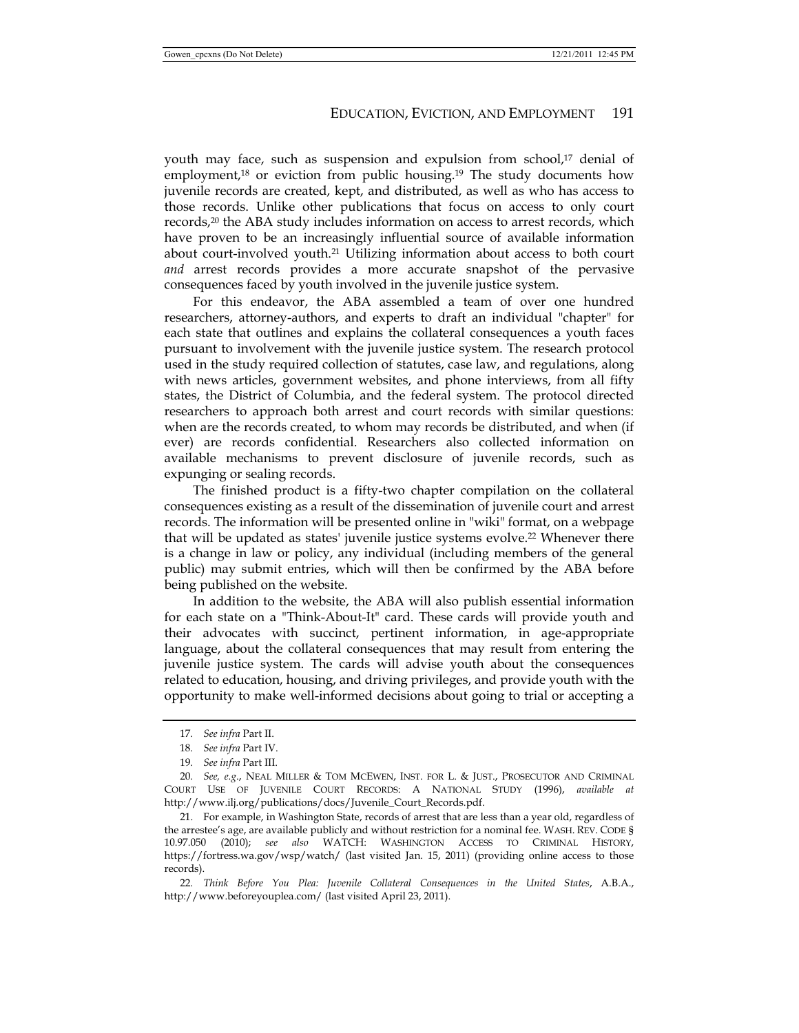youth may face, such as suspension and expulsion from school,<sup>17</sup> denial of employment, $18$  or eviction from public housing.<sup>19</sup> The study documents how juvenile records are created, kept, and distributed, as well as who has access to those records. Unlike other publications that focus on access to only court records,20 the ABA study includes information on access to arrest records, which have proven to be an increasingly influential source of available information about court-involved youth.<sup>21</sup> Utilizing information about access to both court *and* arrest records provides a more accurate snapshot of the pervasive consequences faced by youth involved in the juvenile justice system.

For this endeavor, the ABA assembled a team of over one hundred researchers, attorney-authors, and experts to draft an individual "chapter" for each state that outlines and explains the collateral consequences a youth faces pursuant to involvement with the juvenile justice system. The research protocol used in the study required collection of statutes, case law, and regulations, along with news articles, government websites, and phone interviews, from all fifty states, the District of Columbia, and the federal system. The protocol directed researchers to approach both arrest and court records with similar questions: when are the records created, to whom may records be distributed, and when (if ever) are records confidential. Researchers also collected information on available mechanisms to prevent disclosure of juvenile records, such as expunging or sealing records.

The finished product is a fifty-two chapter compilation on the collateral consequences existing as a result of the dissemination of juvenile court and arrest records. The information will be presented online in "wiki" format, on a webpage that will be updated as states' juvenile justice systems evolve.22 Whenever there is a change in law or policy, any individual (including members of the general public) may submit entries, which will then be confirmed by the ABA before being published on the website.

In addition to the website, the ABA will also publish essential information for each state on a "Think-About-It" card. These cards will provide youth and their advocates with succinct, pertinent information, in age-appropriate language, about the collateral consequences that may result from entering the juvenile justice system. The cards will advise youth about the consequences related to education, housing, and driving privileges, and provide youth with the opportunity to make well-informed decisions about going to trial or accepting a

<sup>17</sup>*. See infra* Part II.

<sup>18</sup>*. See infra* Part IV.

<sup>19</sup>*. See infra* Part III.

<sup>20</sup>*. See, e.g*., NEAL MILLER & TOM MCEWEN, INST. FOR L. & JUST., PROSECUTOR AND CRIMINAL COURT USE OF JUVENILE COURT RECORDS: A NATIONAL STUDY (1996), *available at*  http://www.ilj.org/publications/docs/Juvenile\_Court\_Records.pdf.

 <sup>21.</sup> For example, in Washington State, records of arrest that are less than a year old, regardless of the arrestee's age, are available publicly and without restriction for a nominal fee. WASH. REV. CODE § 10.97.050 (2010); *see also* WATCH: WASHINGTON ACCESS TO CRIMINAL HISTORY, https://fortress.wa.gov/wsp/watch/ (last visited Jan. 15, 2011) (providing online access to those records).

<sup>22</sup>*. Think Before You Plea: Juvenile Collateral Consequences in the United States*, A.B.A., http://www.beforeyouplea.com/ (last visited April 23, 2011).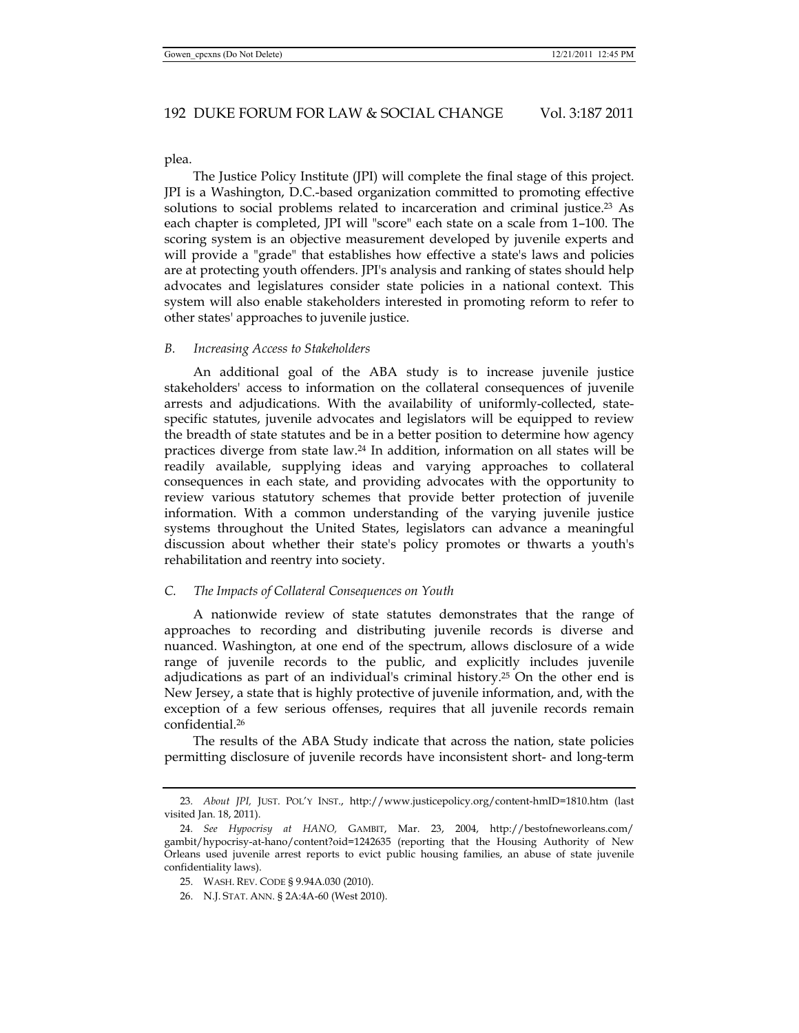plea.

The Justice Policy Institute (JPI) will complete the final stage of this project. JPI is a Washington, D.C.-based organization committed to promoting effective solutions to social problems related to incarceration and criminal justice.<sup>23</sup> As each chapter is completed, JPI will "score" each state on a scale from 1–100. The scoring system is an objective measurement developed by juvenile experts and will provide a "grade" that establishes how effective a state's laws and policies are at protecting youth offenders. JPI's analysis and ranking of states should help advocates and legislatures consider state policies in a national context. This system will also enable stakeholders interested in promoting reform to refer to other states' approaches to juvenile justice.

# *B. Increasing Access to Stakeholders*

An additional goal of the ABA study is to increase juvenile justice stakeholders' access to information on the collateral consequences of juvenile arrests and adjudications. With the availability of uniformly-collected, statespecific statutes, juvenile advocates and legislators will be equipped to review the breadth of state statutes and be in a better position to determine how agency practices diverge from state law.24 In addition, information on all states will be readily available, supplying ideas and varying approaches to collateral consequences in each state, and providing advocates with the opportunity to review various statutory schemes that provide better protection of juvenile information. With a common understanding of the varying juvenile justice systems throughout the United States, legislators can advance a meaningful discussion about whether their state's policy promotes or thwarts a youth's rehabilitation and reentry into society.

#### *C. The Impacts of Collateral Consequences on Youth*

A nationwide review of state statutes demonstrates that the range of approaches to recording and distributing juvenile records is diverse and nuanced. Washington, at one end of the spectrum, allows disclosure of a wide range of juvenile records to the public, and explicitly includes juvenile adjudications as part of an individual's criminal history.25 On the other end is New Jersey, a state that is highly protective of juvenile information, and, with the exception of a few serious offenses, requires that all juvenile records remain confidential.26

The results of the ABA Study indicate that across the nation, state policies permitting disclosure of juvenile records have inconsistent short- and long-term

26. N.J. STAT. ANN. § 2A:4A-60 (West 2010).

<sup>23</sup>*. About JPI,* JUST. POL'Y INST., http://www.justicepolicy.org/content-hmID=1810.htm (last visited Jan. 18, 2011).

<sup>24</sup>*. See Hypocrisy at HANO,* GAMBIT, Mar. 23, 2004, http://bestofneworleans.com/ gambit/hypocrisy-at-hano/content?oid=1242635 (reporting that the Housing Authority of New Orleans used juvenile arrest reports to evict public housing families, an abuse of state juvenile confidentiality laws).

 <sup>25.</sup> WASH. REV. CODE § 9.94A.030 (2010).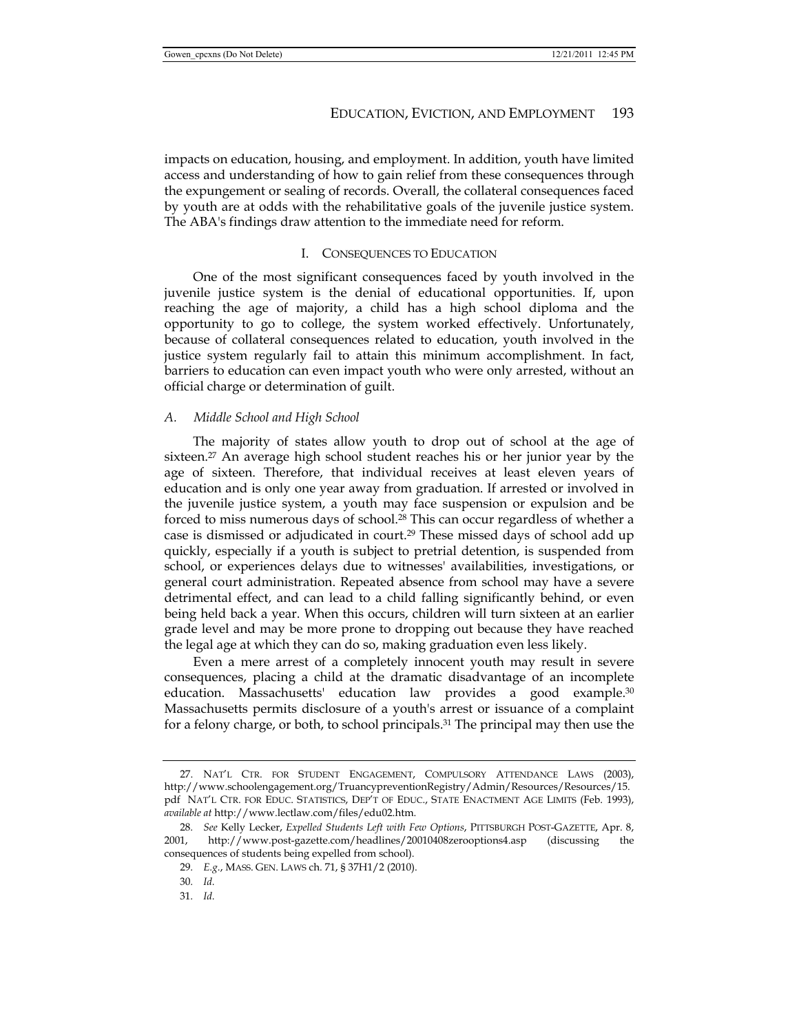impacts on education, housing, and employment. In addition, youth have limited access and understanding of how to gain relief from these consequences through the expungement or sealing of records. Overall, the collateral consequences faced by youth are at odds with the rehabilitative goals of the juvenile justice system. The ABA's findings draw attention to the immediate need for reform.

# I. CONSEQUENCES TO EDUCATION

One of the most significant consequences faced by youth involved in the juvenile justice system is the denial of educational opportunities. If, upon reaching the age of majority, a child has a high school diploma and the opportunity to go to college, the system worked effectively. Unfortunately, because of collateral consequences related to education, youth involved in the justice system regularly fail to attain this minimum accomplishment. In fact, barriers to education can even impact youth who were only arrested, without an official charge or determination of guilt.

# *A. Middle School and High School*

The majority of states allow youth to drop out of school at the age of sixteen.<sup>27</sup> An average high school student reaches his or her junior year by the age of sixteen. Therefore, that individual receives at least eleven years of education and is only one year away from graduation. If arrested or involved in the juvenile justice system, a youth may face suspension or expulsion and be forced to miss numerous days of school.<sup>28</sup> This can occur regardless of whether a case is dismissed or adjudicated in court.29 These missed days of school add up quickly, especially if a youth is subject to pretrial detention, is suspended from school, or experiences delays due to witnesses' availabilities, investigations, or general court administration. Repeated absence from school may have a severe detrimental effect, and can lead to a child falling significantly behind, or even being held back a year. When this occurs, children will turn sixteen at an earlier grade level and may be more prone to dropping out because they have reached the legal age at which they can do so, making graduation even less likely.

Even a mere arrest of a completely innocent youth may result in severe consequences, placing a child at the dramatic disadvantage of an incomplete education. Massachusetts' education law provides a good example.<sup>30</sup> Massachusetts permits disclosure of a youth's arrest or issuance of a complaint for a felony charge, or both, to school principals.31 The principal may then use the

 <sup>27.</sup> NAT'L CTR. FOR STUDENT ENGAGEMENT, COMPULSORY ATTENDANCE LAWS (2003), http://www.schoolengagement.org/TruancypreventionRegistry/Admin/Resources/Resources/15. pdf NAT'L CTR. FOR EDUC. STATISTICS, DEP'T OF EDUC., STATE ENACTMENT AGE LIMITS (Feb. 1993), *available at* http://www.lectlaw.com/files/edu02.htm.

<sup>28</sup>*. See* Kelly Lecker, *Expelled Students Left with Few Options*, PITTSBURGH POST-GAZETTE, Apr. 8, 2001, http://www.post-gazette.com/headlines/20010408zerooptions4.asp (discussing the consequences of students being expelled from school).

<sup>29</sup>*. E.g.*, MASS. GEN. LAWS ch. 71, § 37H1/2 (2010).

<sup>30</sup>*. Id.*

<sup>31</sup>*. Id.*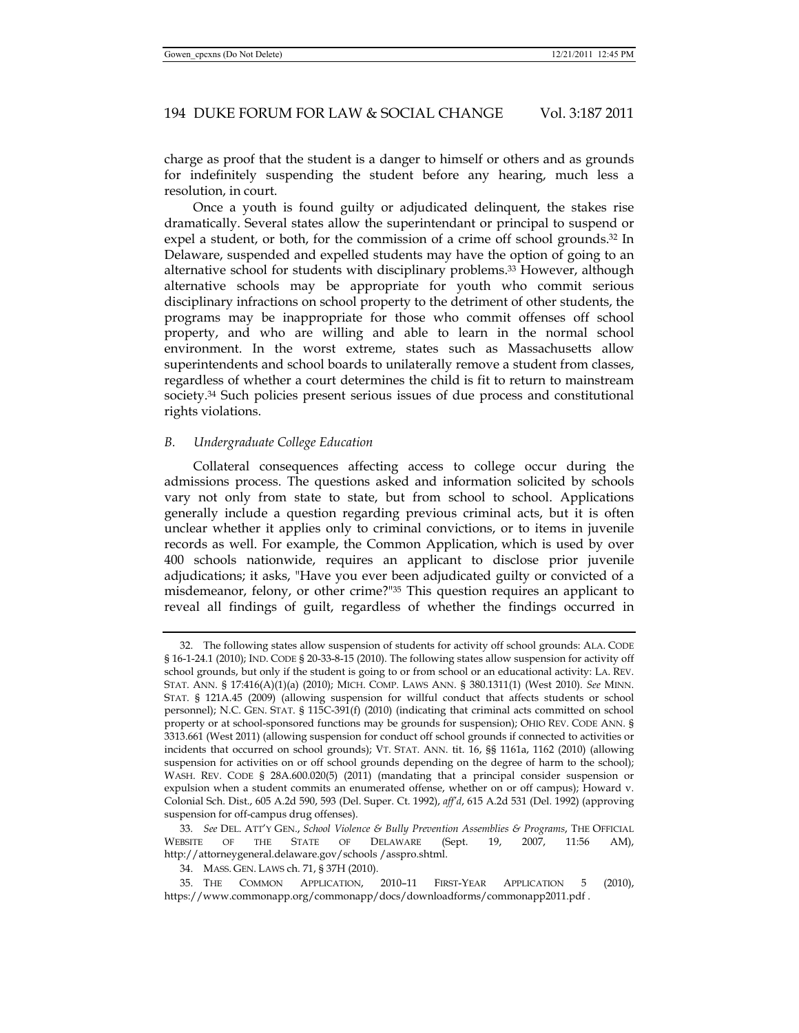charge as proof that the student is a danger to himself or others and as grounds for indefinitely suspending the student before any hearing, much less a resolution, in court.

Once a youth is found guilty or adjudicated delinquent, the stakes rise dramatically. Several states allow the superintendant or principal to suspend or expel a student, or both, for the commission of a crime off school grounds.<sup>32</sup> In Delaware, suspended and expelled students may have the option of going to an alternative school for students with disciplinary problems.33 However, although alternative schools may be appropriate for youth who commit serious disciplinary infractions on school property to the detriment of other students, the programs may be inappropriate for those who commit offenses off school property, and who are willing and able to learn in the normal school environment. In the worst extreme, states such as Massachusetts allow superintendents and school boards to unilaterally remove a student from classes, regardless of whether a court determines the child is fit to return to mainstream society.34 Such policies present serious issues of due process and constitutional rights violations.

#### *B. Undergraduate College Education*

Collateral consequences affecting access to college occur during the admissions process. The questions asked and information solicited by schools vary not only from state to state, but from school to school. Applications generally include a question regarding previous criminal acts, but it is often unclear whether it applies only to criminal convictions, or to items in juvenile records as well. For example, the Common Application, which is used by over 400 schools nationwide, requires an applicant to disclose prior juvenile adjudications; it asks, "Have you ever been adjudicated guilty or convicted of a misdemeanor, felony, or other crime?"35 This question requires an applicant to reveal all findings of guilt, regardless of whether the findings occurred in

 <sup>32.</sup> The following states allow suspension of students for activity off school grounds: ALA. CODE § 16-1-24.1 (2010); IND. CODE § 20-33-8-15 (2010). The following states allow suspension for activity off school grounds, but only if the student is going to or from school or an educational activity: LA. REV. STAT. ANN. § 17:416(A)(1)(a) (2010); MICH. COMP. LAWS ANN. § 380.1311(1) (West 2010). *See* MINN. STAT. § 121A.45 (2009) (allowing suspension for willful conduct that affects students or school personnel); N.C. GEN. STAT. § 115C-391(f) (2010) (indicating that criminal acts committed on school property or at school-sponsored functions may be grounds for suspension); OHIO REV. CODE ANN. § 3313.661 (West 2011) (allowing suspension for conduct off school grounds if connected to activities or incidents that occurred on school grounds); VT. STAT. ANN. tit. 16, §§ 1161a, 1162 (2010) (allowing suspension for activities on or off school grounds depending on the degree of harm to the school); WASH. REV. CODE § 28A.600.020(5) (2011) (mandating that a principal consider suspension or expulsion when a student commits an enumerated offense, whether on or off campus); Howard v. Colonial Sch. Dist., 605 A.2d 590, 593 (Del. Super. Ct. 1992), *aff'd*, 615 A.2d 531 (Del. 1992) (approving suspension for off-campus drug offenses).

<sup>33</sup>*. See* DEL. ATT'Y GEN., *School Violence & Bully Prevention Assemblies & Programs*, THE OFFICIAL WEBSITE OF THE STATE OF DELAWARE (Sept. 19, 2007, 11:56 AM), http://attorneygeneral.delaware.gov/schools /asspro.shtml.

 <sup>34.</sup> MASS. GEN. LAWS ch. 71, § 37H (2010).

 <sup>35.</sup> THE COMMON APPLICATION, 2010–11 FIRST-YEAR APPLICATION 5 (2010), https://www.commonapp.org/commonapp/docs/downloadforms/commonapp2011.pdf .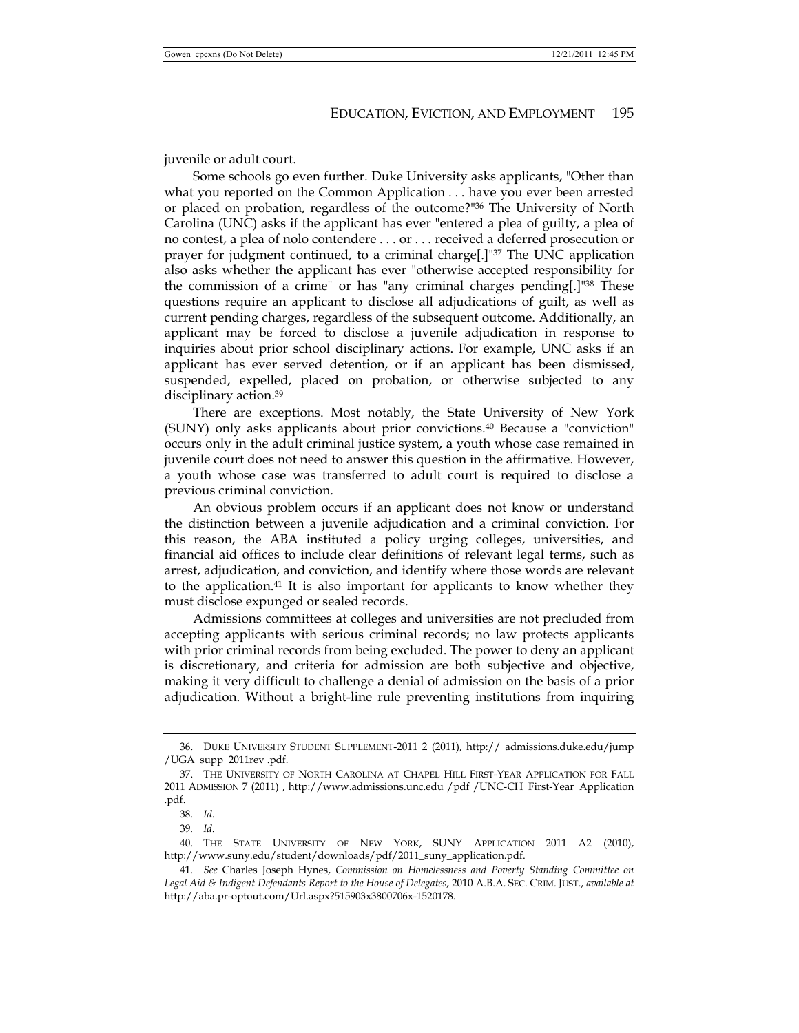juvenile or adult court.

Some schools go even further. Duke University asks applicants, "Other than what you reported on the Common Application . . . have you ever been arrested or placed on probation, regardless of the outcome?"36 The University of North Carolina (UNC) asks if the applicant has ever "entered a plea of guilty, a plea of no contest, a plea of nolo contendere . . . or . . . received a deferred prosecution or prayer for judgment continued, to a criminal charge[.]"37 The UNC application also asks whether the applicant has ever "otherwise accepted responsibility for the commission of a crime" or has "any criminal charges pending[.]"38 These questions require an applicant to disclose all adjudications of guilt, as well as current pending charges, regardless of the subsequent outcome. Additionally, an applicant may be forced to disclose a juvenile adjudication in response to inquiries about prior school disciplinary actions. For example, UNC asks if an applicant has ever served detention, or if an applicant has been dismissed, suspended, expelled, placed on probation, or otherwise subjected to any disciplinary action.39

There are exceptions. Most notably, the State University of New York (SUNY) only asks applicants about prior convictions.40 Because a "conviction" occurs only in the adult criminal justice system, a youth whose case remained in juvenile court does not need to answer this question in the affirmative. However, a youth whose case was transferred to adult court is required to disclose a previous criminal conviction.

An obvious problem occurs if an applicant does not know or understand the distinction between a juvenile adjudication and a criminal conviction. For this reason, the ABA instituted a policy urging colleges, universities, and financial aid offices to include clear definitions of relevant legal terms, such as arrest, adjudication, and conviction, and identify where those words are relevant to the application.<sup>41</sup> It is also important for applicants to know whether they must disclose expunged or sealed records.

Admissions committees at colleges and universities are not precluded from accepting applicants with serious criminal records; no law protects applicants with prior criminal records from being excluded. The power to deny an applicant is discretionary, and criteria for admission are both subjective and objective, making it very difficult to challenge a denial of admission on the basis of a prior adjudication. Without a bright-line rule preventing institutions from inquiring

 <sup>36.</sup> DUKE UNIVERSITY STUDENT SUPPLEMENT-2011 2 (2011), http:// admissions.duke.edu/jump /UGA\_supp\_2011rev .pdf.

 <sup>37.</sup> THE UNIVERSITY OF NORTH CAROLINA AT CHAPEL HILL FIRST-YEAR APPLICATION FOR FALL 2011 ADMISSION 7 (2011) , http://www.admissions.unc.edu /pdf /UNC-CH\_First-Year\_Application .pdf.

<sup>38</sup>*. Id.*

<sup>39</sup>*. Id.*

 <sup>40.</sup> THE STATE UNIVERSITY OF NEW YORK, SUNY APPLICATION 2011 A2 (2010), http://www.suny.edu/student/downloads/pdf/2011\_suny\_application.pdf.

<sup>41</sup>*. See* Charles Joseph Hynes, *Commission on Homelessness and Poverty Standing Committee on Legal Aid & Indigent Defendants Report to the House of Delegates*, 2010 A.B.A. SEC. CRIM. JUST., *available at* http://aba.pr-optout.com/Url.aspx?515903x3800706x-1520178.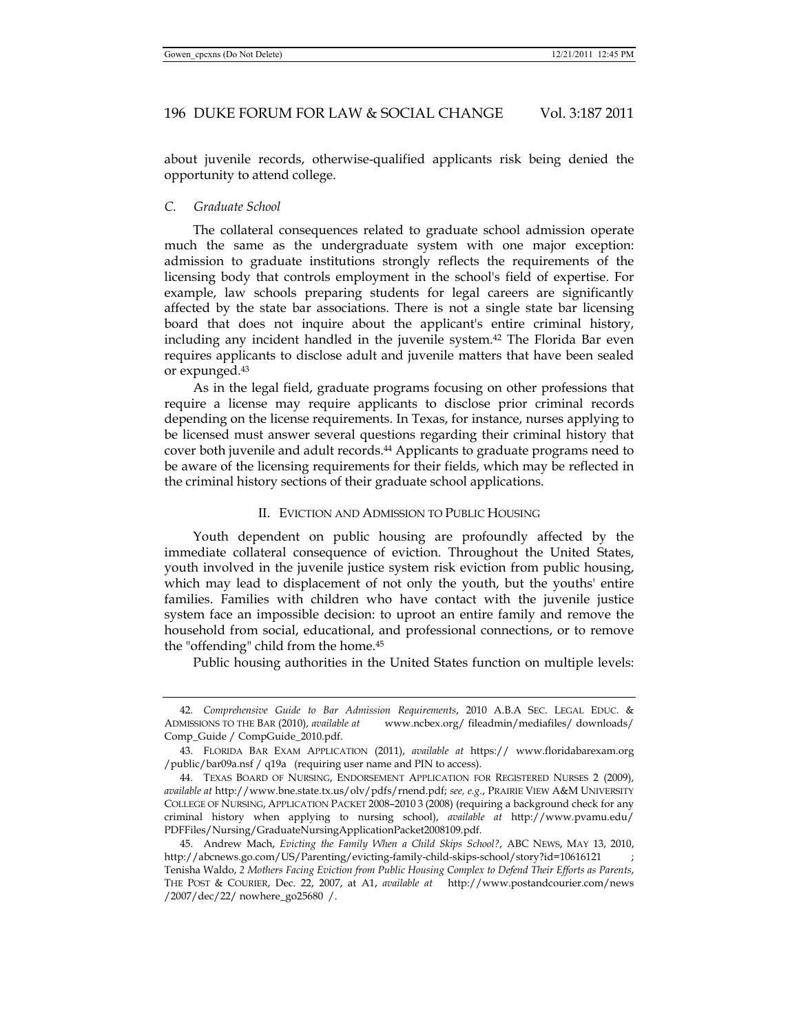about juvenile records, otherwise-qualified applicants risk being denied the opportunity to attend college.

# *C. Graduate School*

The collateral consequences related to graduate school admission operate much the same as the undergraduate system with one major exception: admission to graduate institutions strongly reflects the requirements of the licensing body that controls employment in the school's field of expertise. For example, law schools preparing students for legal careers are significantly affected by the state bar associations. There is not a single state bar licensing board that does not inquire about the applicant's entire criminal history, including any incident handled in the juvenile system.42 The Florida Bar even requires applicants to disclose adult and juvenile matters that have been sealed or expunged.43

As in the legal field, graduate programs focusing on other professions that require a license may require applicants to disclose prior criminal records depending on the license requirements. In Texas, for instance, nurses applying to be licensed must answer several questions regarding their criminal history that cover both juvenile and adult records.44 Applicants to graduate programs need to be aware of the licensing requirements for their fields, which may be reflected in the criminal history sections of their graduate school applications.

#### II. EVICTION AND ADMISSION TO PUBLIC HOUSING

Youth dependent on public housing are profoundly affected by the immediate collateral consequence of eviction. Throughout the United States, youth involved in the juvenile justice system risk eviction from public housing, which may lead to displacement of not only the youth, but the youths' entire families. Families with children who have contact with the juvenile justice system face an impossible decision: to uproot an entire family and remove the household from social, educational, and professional connections, or to remove the "offending" child from the home.45

Public housing authorities in the United States function on multiple levels:

<sup>42</sup>*. Comprehensive Guide to Bar Admission Requirements*, 2010 A.B.A SEC. LEGAL EDUC. & ADMISSIONS TO THE BAR (2010), *available at* www.ncbex.org/ fileadmin/mediafiles/ downloads/ Comp\_Guide / CompGuide\_2010.pdf.

 <sup>43.</sup> FLORIDA BAR EXAM APPLICATION (2011), *available at* https:// www.floridabarexam.org /public/bar09a.nsf / q19a (requiring user name and PIN to access).

 <sup>44.</sup> TEXAS BOARD OF NURSING, ENDORSEMENT APPLICATION FOR REGISTERED NURSES 2 (2009), *available at* http://www.bne.state.tx.us/olv/pdfs/rnend.pdf; *see, e.g.*, PRAIRIE VIEW A&M UNIVERSITY COLLEGE OF NURSING, APPLICATION PACKET 2008–2010 3 (2008) (requiring a background check for any criminal history when applying to nursing school), *available at* http://www.pvamu.edu/ PDFFiles/Nursing/GraduateNursingApplicationPacket2008109.pdf.

 <sup>45.</sup> Andrew Mach, *Evicting the Family When a Child Skips School?*, ABC NEWS, MAY 13, 2010, http://abcnews.go.com/US/Parenting/evicting-family-child-skips-school/story?id=10616121 ; Tenisha Waldo, *2 Mothers Facing Eviction from Public Housing Complex to Defend Their Efforts as Parents*, THE POST & COURIER, Dec. 22, 2007, at A1, *available at* http://www.postandcourier.com/news /2007/dec/22/ nowhere\_go25680 /.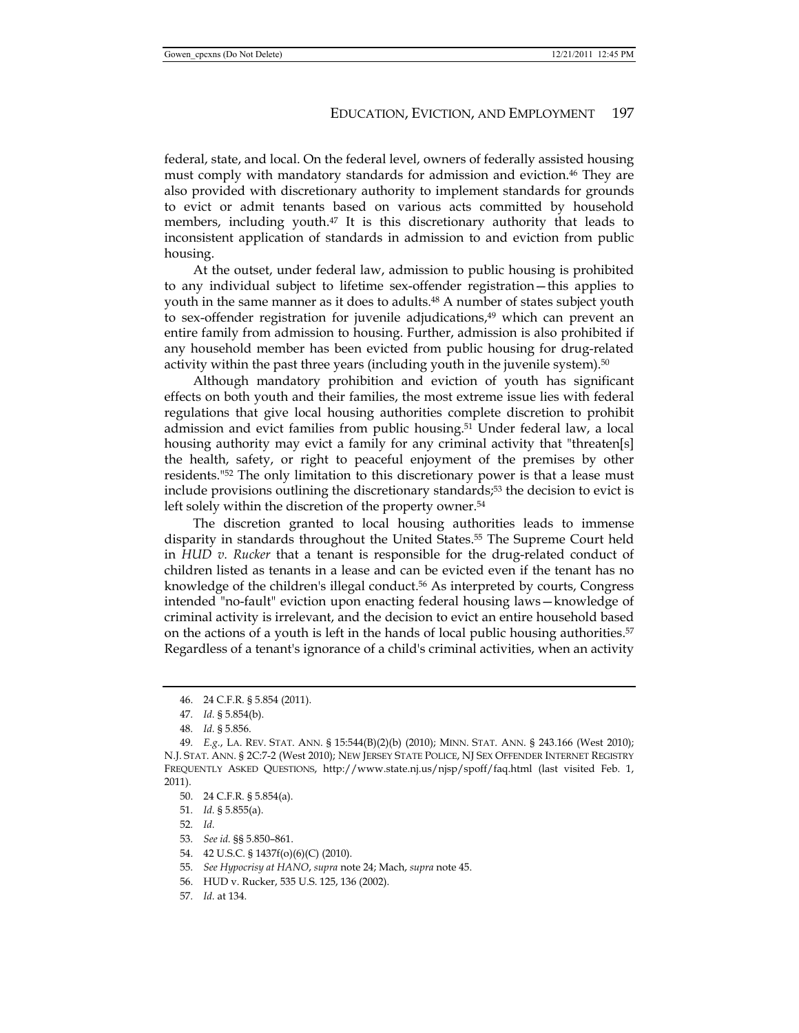federal, state, and local. On the federal level, owners of federally assisted housing must comply with mandatory standards for admission and eviction.46 They are also provided with discretionary authority to implement standards for grounds to evict or admit tenants based on various acts committed by household members, including youth. $47$  It is this discretionary authority that leads to inconsistent application of standards in admission to and eviction from public housing.

At the outset, under federal law, admission to public housing is prohibited to any individual subject to lifetime sex-offender registration—this applies to youth in the same manner as it does to adults.<sup>48</sup> A number of states subject youth to sex-offender registration for juvenile adjudications,<sup>49</sup> which can prevent an entire family from admission to housing. Further, admission is also prohibited if any household member has been evicted from public housing for drug-related activity within the past three years (including youth in the juvenile system).50

Although mandatory prohibition and eviction of youth has significant effects on both youth and their families, the most extreme issue lies with federal regulations that give local housing authorities complete discretion to prohibit admission and evict families from public housing.51 Under federal law, a local housing authority may evict a family for any criminal activity that "threaten[s] the health, safety, or right to peaceful enjoyment of the premises by other residents."52 The only limitation to this discretionary power is that a lease must include provisions outlining the discretionary standards;53 the decision to evict is left solely within the discretion of the property owner.<sup>54</sup>

The discretion granted to local housing authorities leads to immense disparity in standards throughout the United States.55 The Supreme Court held in *HUD v. Rucker* that a tenant is responsible for the drug-related conduct of children listed as tenants in a lease and can be evicted even if the tenant has no knowledge of the children's illegal conduct.<sup>56</sup> As interpreted by courts, Congress intended "no-fault" eviction upon enacting federal housing laws—knowledge of criminal activity is irrelevant, and the decision to evict an entire household based on the actions of a youth is left in the hands of local public housing authorities.<sup>57</sup> Regardless of a tenant's ignorance of a child's criminal activities, when an activity

- 54. 42 U.S.C. § 1437f(o)(6)(C) (2010).
- 55*. See Hypocrisy at HANO*, *supra* note 24; Mach, *supra* note 45.
- 56. HUD v. Rucker, 535 U.S. 125, 136 (2002).
- 57*. Id.* at 134.

 <sup>46. 24</sup> C.F.R. § 5.854 (2011).

<sup>47</sup>*. Id.* § 5.854(b).

<sup>48</sup>*. Id.* § 5.856.

<sup>49</sup>*. E.g.*, LA. REV. STAT. ANN. § 15:544(B)(2)(b) (2010); MINN. STAT. ANN. § 243.166 (West 2010); N.J. STAT. ANN. § 2C:7-2 (West 2010); NEW JERSEY STATE POLICE, NJ SEX OFFENDER INTERNET REGISTRY FREQUENTLY ASKED QUESTIONS, http://www.state.nj.us/njsp/spoff/faq.html (last visited Feb. 1, 2011).

 <sup>50. 24</sup> C.F.R. § 5.854(a).

<sup>51</sup>*. Id.* § 5.855(a).

<sup>52</sup>*. Id.*

<sup>53</sup>*. See id.* §§ 5.850–861.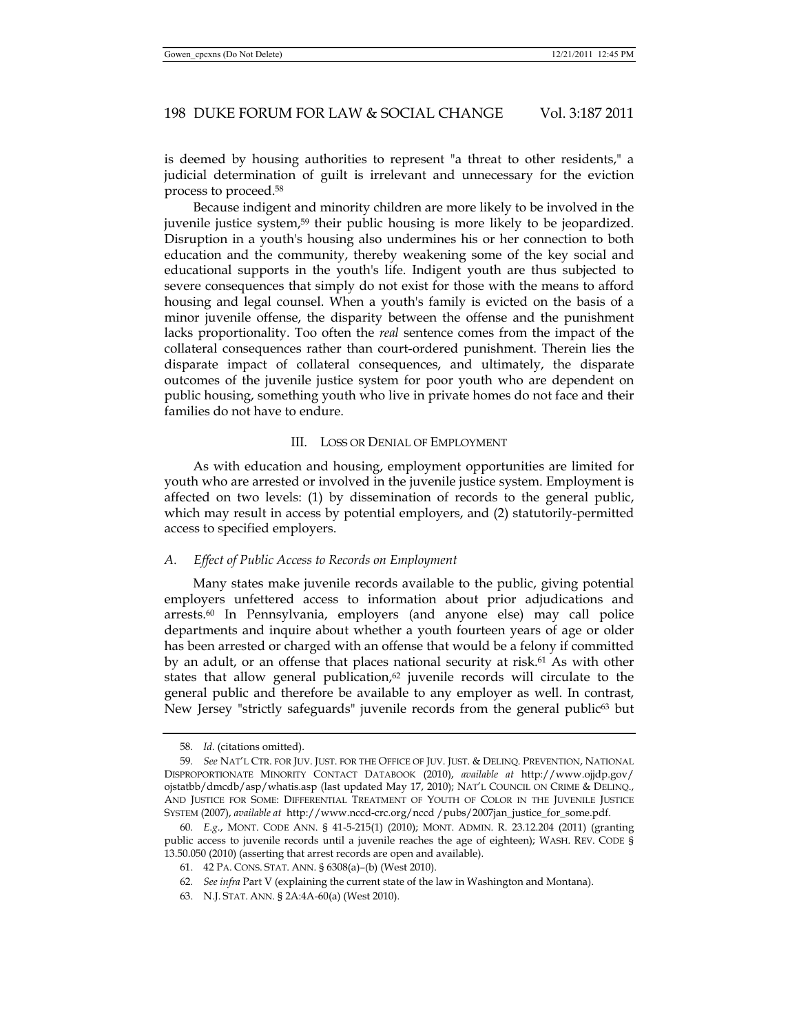is deemed by housing authorities to represent "a threat to other residents," a judicial determination of guilt is irrelevant and unnecessary for the eviction process to proceed.58

Because indigent and minority children are more likely to be involved in the juvenile justice system,59 their public housing is more likely to be jeopardized. Disruption in a youth's housing also undermines his or her connection to both education and the community, thereby weakening some of the key social and educational supports in the youth's life. Indigent youth are thus subjected to severe consequences that simply do not exist for those with the means to afford housing and legal counsel. When a youth's family is evicted on the basis of a minor juvenile offense, the disparity between the offense and the punishment lacks proportionality. Too often the *real* sentence comes from the impact of the collateral consequences rather than court-ordered punishment. Therein lies the disparate impact of collateral consequences, and ultimately, the disparate outcomes of the juvenile justice system for poor youth who are dependent on public housing, something youth who live in private homes do not face and their families do not have to endure.

#### III. LOSS OR DENIAL OF EMPLOYMENT

As with education and housing, employment opportunities are limited for youth who are arrested or involved in the juvenile justice system. Employment is affected on two levels: (1) by dissemination of records to the general public, which may result in access by potential employers, and (2) statutorily-permitted access to specified employers.

#### *A. Effect of Public Access to Records on Employment*

Many states make juvenile records available to the public, giving potential employers unfettered access to information about prior adjudications and arrests.60 In Pennsylvania, employers (and anyone else) may call police departments and inquire about whether a youth fourteen years of age or older has been arrested or charged with an offense that would be a felony if committed by an adult, or an offense that places national security at risk.61 As with other states that allow general publication, $62$  juvenile records will circulate to the general public and therefore be available to any employer as well. In contrast, New Jersey "strictly safeguards" juvenile records from the general public<sup>63</sup> but

<sup>58</sup>*. Id.* (citations omitted).

<sup>59</sup>*. See* NAT'L CTR. FOR JUV. JUST. FOR THE OFFICE OF JUV. JUST. & DELINQ. PREVENTION, NATIONAL DISPROPORTIONATE MINORITY CONTACT DATABOOK (2010), *available at* http://www.ojjdp.gov/ ojstatbb/dmcdb/asp/whatis.asp (last updated May 17, 2010); NAT'L COUNCIL ON CRIME & DELINQ., AND JUSTICE FOR SOME: DIFFERENTIAL TREATMENT OF YOUTH OF COLOR IN THE JUVENILE JUSTICE SYSTEM (2007), *available at* http://www.nccd-crc.org/nccd /pubs/2007jan\_justice\_for\_some.pdf.

<sup>60</sup>*. E.g.*, MONT. CODE ANN. § 41-5-215(1) (2010); MONT. ADMIN. R. 23.12.204 (2011) (granting public access to juvenile records until a juvenile reaches the age of eighteen); WASH. REV. CODE § 13.50.050 (2010) (asserting that arrest records are open and available).

 <sup>61. 42</sup> PA. CONS. STAT. ANN. § 6308(a)–(b) (West 2010).

<sup>62</sup>*. See infra* Part V (explaining the current state of the law in Washington and Montana).

 <sup>63.</sup> N.J. STAT. ANN. § 2A:4A-60(a) (West 2010).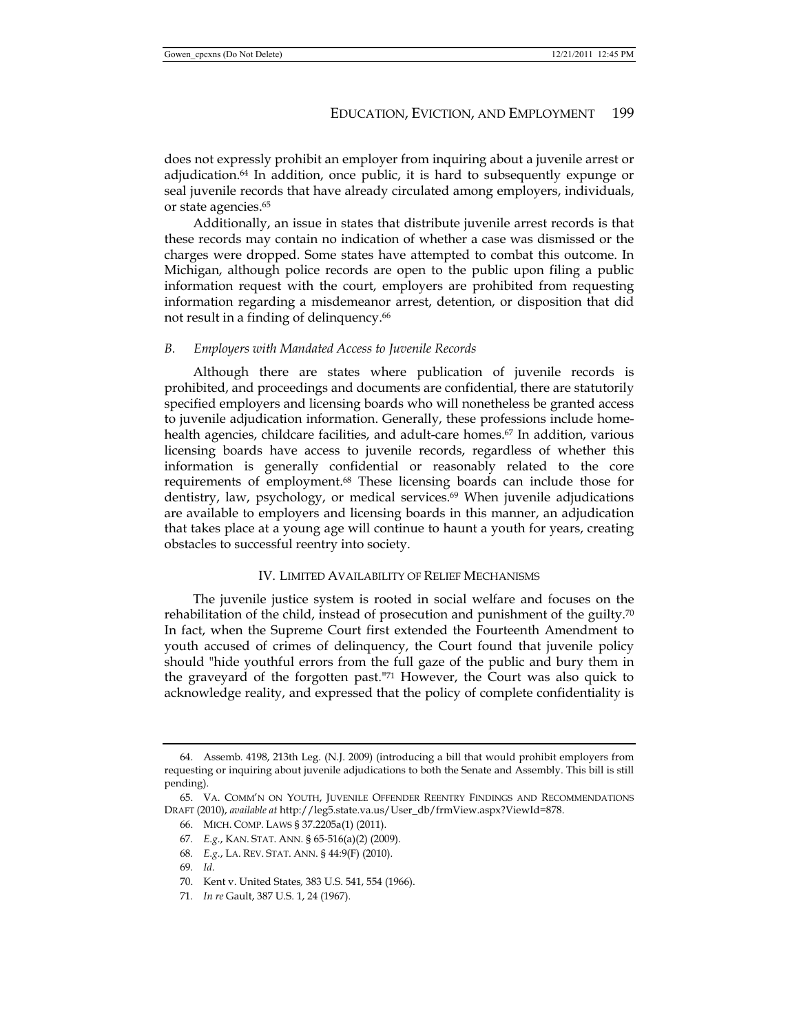does not expressly prohibit an employer from inquiring about a juvenile arrest or adjudication.64 In addition, once public, it is hard to subsequently expunge or seal juvenile records that have already circulated among employers, individuals, or state agencies.65

Additionally, an issue in states that distribute juvenile arrest records is that these records may contain no indication of whether a case was dismissed or the charges were dropped. Some states have attempted to combat this outcome. In Michigan, although police records are open to the public upon filing a public information request with the court, employers are prohibited from requesting information regarding a misdemeanor arrest, detention, or disposition that did not result in a finding of delinquency.<sup>66</sup>

#### *B. Employers with Mandated Access to Juvenile Records*

Although there are states where publication of juvenile records is prohibited, and proceedings and documents are confidential, there are statutorily specified employers and licensing boards who will nonetheless be granted access to juvenile adjudication information. Generally, these professions include homehealth agencies, childcare facilities, and adult-care homes.<sup>67</sup> In addition, various licensing boards have access to juvenile records, regardless of whether this information is generally confidential or reasonably related to the core requirements of employment.68 These licensing boards can include those for dentistry, law, psychology, or medical services. $69$  When juvenile adjudications are available to employers and licensing boards in this manner, an adjudication that takes place at a young age will continue to haunt a youth for years, creating obstacles to successful reentry into society.

#### IV. LIMITED AVAILABILITY OF RELIEF MECHANISMS

The juvenile justice system is rooted in social welfare and focuses on the rehabilitation of the child, instead of prosecution and punishment of the guilty.70 In fact, when the Supreme Court first extended the Fourteenth Amendment to youth accused of crimes of delinquency, the Court found that juvenile policy should "hide youthful errors from the full gaze of the public and bury them in the graveyard of the forgotten past."71 However, the Court was also quick to acknowledge reality, and expressed that the policy of complete confidentiality is

 <sup>64.</sup> Assemb. 4198, 213th Leg. (N.J. 2009) (introducing a bill that would prohibit employers from requesting or inquiring about juvenile adjudications to both the Senate and Assembly. This bill is still pending).

 <sup>65.</sup> VA. COMM'N ON YOUTH, JUVENILE OFFENDER REENTRY FINDINGS AND RECOMMENDATIONS DRAFT (2010), *available at* http://leg5.state.va.us/User\_db/frmView.aspx?ViewId=878.

 <sup>66.</sup> MICH. COMP. LAWS § 37.2205a(1) (2011).

<sup>67</sup>*. E.g.*, KAN. STAT. ANN. § 65-516(a)(2) (2009).

<sup>68</sup>*. E.g.*, LA. REV. STAT. ANN. § 44:9(F) (2010).

<sup>69</sup>*. Id.*

 <sup>70.</sup> Kent v. United States*,* 383 U.S. 541, 554 (1966).

<sup>71</sup>*. In re* Gault, 387 U.S. 1, 24 (1967).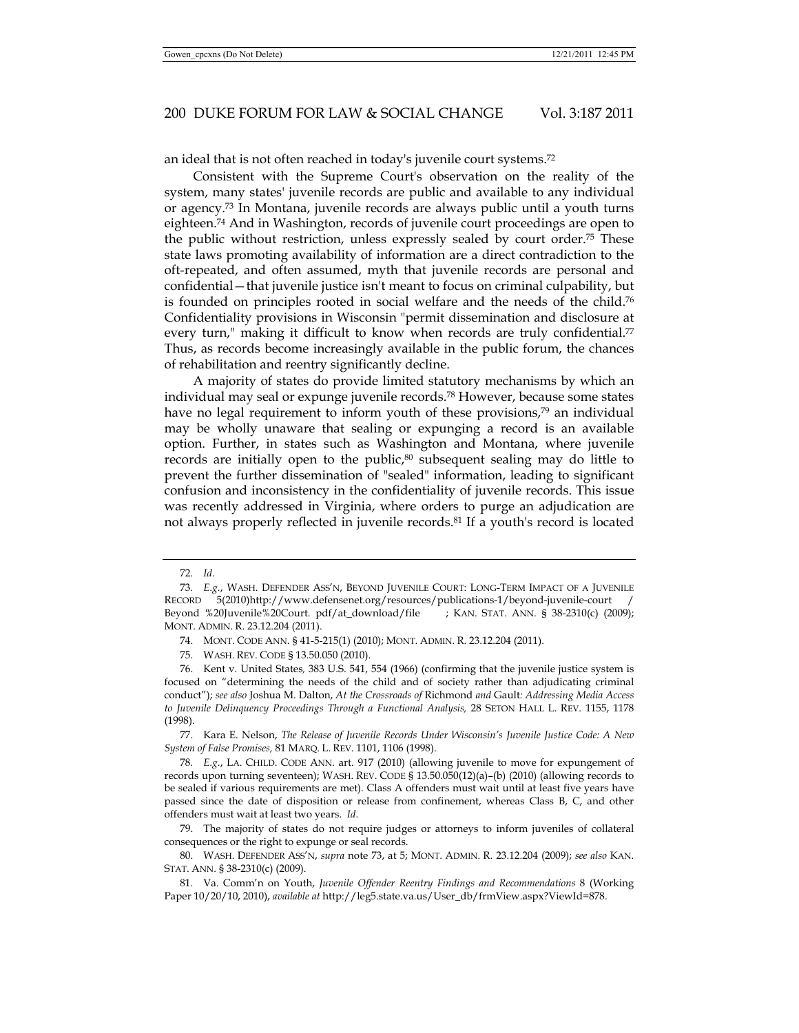an ideal that is not often reached in today's juvenile court systems.72

Consistent with the Supreme Court's observation on the reality of the system, many states' juvenile records are public and available to any individual or agency.73 In Montana, juvenile records are always public until a youth turns eighteen.74 And in Washington, records of juvenile court proceedings are open to the public without restriction, unless expressly sealed by court order.75 These state laws promoting availability of information are a direct contradiction to the oft-repeated, and often assumed, myth that juvenile records are personal and confidential—that juvenile justice isn't meant to focus on criminal culpability, but is founded on principles rooted in social welfare and the needs of the child.76 Confidentiality provisions in Wisconsin "permit dissemination and disclosure at every turn," making it difficult to know when records are truly confidential.<sup>77</sup> Thus, as records become increasingly available in the public forum, the chances of rehabilitation and reentry significantly decline.

A majority of states do provide limited statutory mechanisms by which an individual may seal or expunge juvenile records.78 However, because some states have no legal requirement to inform youth of these provisions,<sup>79</sup> an individual may be wholly unaware that sealing or expunging a record is an available option. Further, in states such as Washington and Montana, where juvenile records are initially open to the public, $80$  subsequent sealing may do little to prevent the further dissemination of "sealed" information, leading to significant confusion and inconsistency in the confidentiality of juvenile records. This issue was recently addressed in Virginia, where orders to purge an adjudication are not always properly reflected in juvenile records.81 If a youth's record is located

<sup>72</sup>*. Id.*

<sup>73</sup>*. E.g.*, WASH. DEFENDER ASS'N, BEYOND JUVENILE COURT: LONG-TERM IMPACT OF A JUVENILE RECORD 5(2010)http://www.defensenet.org/resources/publications-1/beyond-juvenile-court / Beyond %20Juvenile%20Court. pdf/at\_download/file ; KAN. STAT. ANN. § 38-2310(c) (2009); MONT. ADMIN. R. 23.12.204 (2011).

 <sup>74.</sup> MONT. CODE ANN. § 41-5-215(1) (2010); MONT. ADMIN. R. 23.12.204 (2011).

 <sup>75.</sup> WASH. REV. CODE § 13.50.050 (2010).

 <sup>76.</sup> Kent v. United States*,* 383 U.S. 541, 554 (1966) (confirming that the juvenile justice system is focused on "determining the needs of the child and of society rather than adjudicating criminal conduct"); *see also* Joshua M. Dalton, *At the Crossroads of* Richmond *and* Gault*: Addressing Media Access to Juvenile Delinquency Proceedings Through a Functional Analysis,* 28 SETON HALL L. REV. 1155, 1178 (1998).

 <sup>77.</sup> Kara E. Nelson, *The Release of Juvenile Records Under Wisconsin's Juvenile Justice Code: A New System of False Promises,* 81 MARQ. L. REV. 1101, 1106 (1998).

<sup>78</sup>*. E.g.*, LA. CHILD. CODE ANN. art. 917 (2010) (allowing juvenile to move for expungement of records upon turning seventeen); WASH. REV. CODE § 13.50.050(12)(a)–(b) (2010) (allowing records to be sealed if various requirements are met). Class A offenders must wait until at least five years have passed since the date of disposition or release from confinement, whereas Class B, C, and other offenders must wait at least two years. *Id*.

 <sup>79.</sup> The majority of states do not require judges or attorneys to inform juveniles of collateral consequences or the right to expunge or seal records.

 <sup>80.</sup> WASH. DEFENDER ASS'N, *supra* note 73, at 5; MONT. ADMIN. R. 23.12.204 (2009); *see also* KAN. STAT. ANN. § 38-2310(c) (2009).

 <sup>81.</sup> Va. Comm'n on Youth, *Juvenile Offender Reentry Findings and Recommendations* 8 (Working Paper 10/20/10, 2010), *available at* http://leg5.state.va.us/User\_db/frmView.aspx?ViewId=878.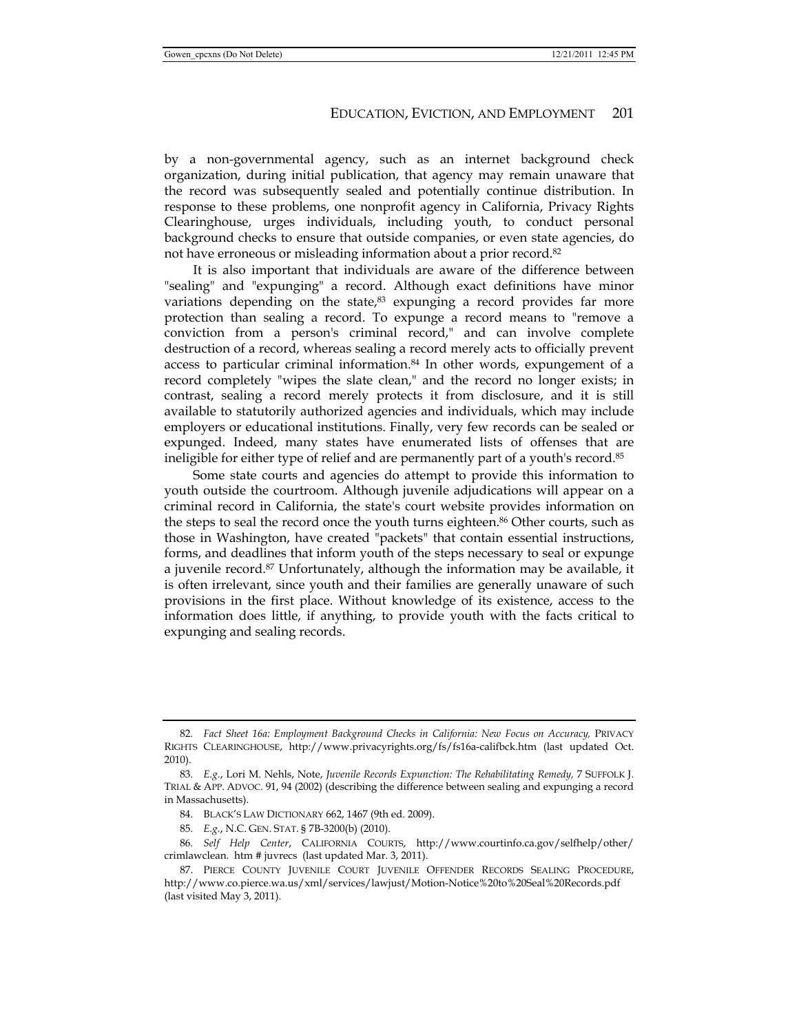by a non-governmental agency, such as an internet background check organization, during initial publication, that agency may remain unaware that the record was subsequently sealed and potentially continue distribution. In response to these problems, one nonprofit agency in California, Privacy Rights Clearinghouse, urges individuals, including youth, to conduct personal background checks to ensure that outside companies, or even state agencies, do not have erroneous or misleading information about a prior record.<sup>82</sup>

It is also important that individuals are aware of the difference between "sealing" and "expunging" a record. Although exact definitions have minor variations depending on the state,<sup>83</sup> expunging a record provides far more protection than sealing a record. To expunge a record means to "remove a conviction from a person's criminal record," and can involve complete destruction of a record, whereas sealing a record merely acts to officially prevent access to particular criminal information.84 In other words, expungement of a record completely "wipes the slate clean," and the record no longer exists; in contrast, sealing a record merely protects it from disclosure, and it is still available to statutorily authorized agencies and individuals, which may include employers or educational institutions. Finally, very few records can be sealed or expunged. Indeed, many states have enumerated lists of offenses that are ineligible for either type of relief and are permanently part of a youth's record.<sup>85</sup>

Some state courts and agencies do attempt to provide this information to youth outside the courtroom. Although juvenile adjudications will appear on a criminal record in California, the state's court website provides information on the steps to seal the record once the youth turns eighteen.<sup>86</sup> Other courts, such as those in Washington, have created "packets" that contain essential instructions, forms, and deadlines that inform youth of the steps necessary to seal or expunge a juvenile record.87 Unfortunately, although the information may be available, it is often irrelevant, since youth and their families are generally unaware of such provisions in the first place. Without knowledge of its existence, access to the information does little, if anything, to provide youth with the facts critical to expunging and sealing records.

<sup>82.</sup> Fact Sheet 16a: Employment Background Checks in California: New Focus on Accuracy, PRIVACY RIGHTS CLEARINGHOUSE, http://www.privacyrights.org/fs/fs16a-califbck.htm (last updated Oct. 2010).

<sup>83</sup>*. E.g.*, Lori M. Nehls, Note, *Juvenile Records Expunction: The Rehabilitating Remedy,* 7 SUFFOLK J. TRIAL & APP. ADVOC. 91, 94 (2002) (describing the difference between sealing and expunging a record in Massachusetts).

 <sup>84.</sup> BLACK'S LAW DICTIONARY 662, 1467 (9th ed. 2009).

<sup>85</sup>*. E.g.*, N.C. GEN. STAT. § 7B-3200(b) (2010).

<sup>86</sup>*. Self Help Center*, CALIFORNIA COURTS, http://www.courtinfo.ca.gov/selfhelp/other/ crimlawclean. htm # juvrecs (last updated Mar. 3, 2011).

 <sup>87.</sup> PIERCE COUNTY JUVENILE COURT JUVENILE OFFENDER RECORDS SEALING PROCEDURE, http://www.co.pierce.wa.us/xml/services/lawjust/Motion-Notice%20to%20Seal%20Records.pdf (last visited May 3, 2011).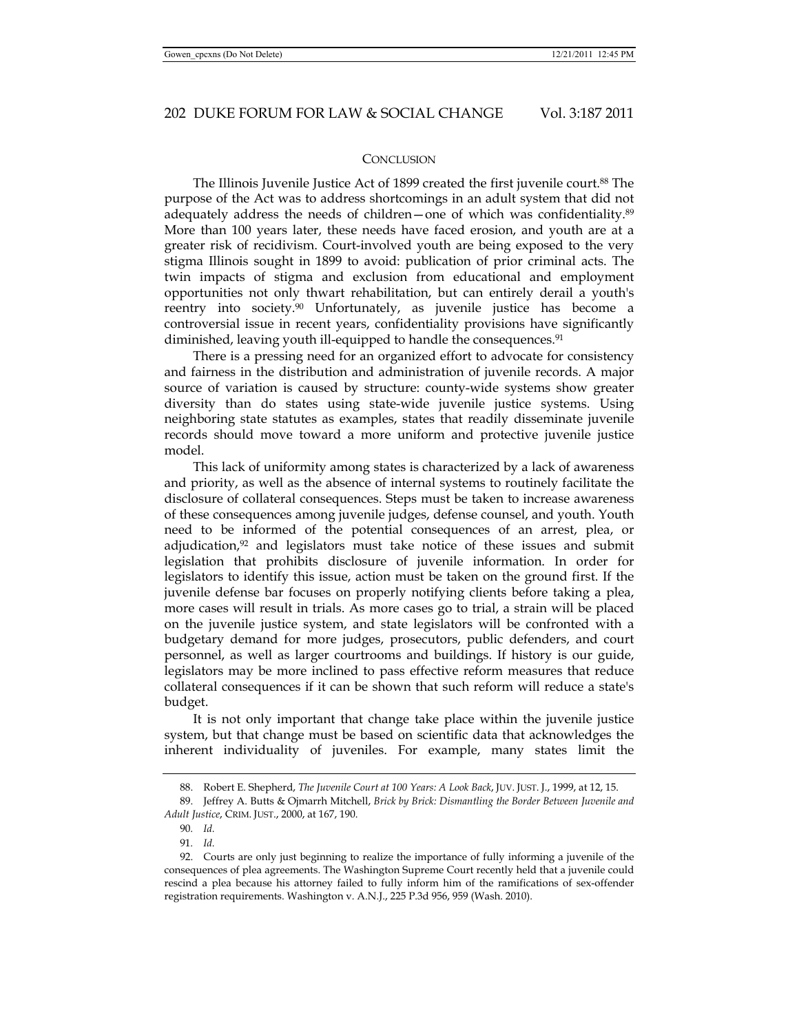#### **CONCLUSION**

The Illinois Juvenile Justice Act of 1899 created the first juvenile court.<sup>88</sup> The purpose of the Act was to address shortcomings in an adult system that did not adequately address the needs of children—one of which was confidentiality.89 More than 100 years later, these needs have faced erosion, and youth are at a greater risk of recidivism. Court-involved youth are being exposed to the very stigma Illinois sought in 1899 to avoid: publication of prior criminal acts. The twin impacts of stigma and exclusion from educational and employment opportunities not only thwart rehabilitation, but can entirely derail a youth's reentry into society.<sup>90</sup> Unfortunately, as juvenile justice has become a controversial issue in recent years, confidentiality provisions have significantly diminished, leaving youth ill-equipped to handle the consequences.<sup>91</sup>

There is a pressing need for an organized effort to advocate for consistency and fairness in the distribution and administration of juvenile records. A major source of variation is caused by structure: county-wide systems show greater diversity than do states using state-wide juvenile justice systems. Using neighboring state statutes as examples, states that readily disseminate juvenile records should move toward a more uniform and protective juvenile justice model.

This lack of uniformity among states is characterized by a lack of awareness and priority, as well as the absence of internal systems to routinely facilitate the disclosure of collateral consequences. Steps must be taken to increase awareness of these consequences among juvenile judges, defense counsel, and youth. Youth need to be informed of the potential consequences of an arrest, plea, or adjudication, $92$  and legislators must take notice of these issues and submit legislation that prohibits disclosure of juvenile information. In order for legislators to identify this issue, action must be taken on the ground first. If the juvenile defense bar focuses on properly notifying clients before taking a plea, more cases will result in trials. As more cases go to trial, a strain will be placed on the juvenile justice system, and state legislators will be confronted with a budgetary demand for more judges, prosecutors, public defenders, and court personnel, as well as larger courtrooms and buildings. If history is our guide, legislators may be more inclined to pass effective reform measures that reduce collateral consequences if it can be shown that such reform will reduce a state's budget.

It is not only important that change take place within the juvenile justice system, but that change must be based on scientific data that acknowledges the inherent individuality of juveniles. For example, many states limit the

 <sup>88.</sup> Robert E. Shepherd, *The Juvenile Court at 100 Years: A Look Back*, JUV. JUST. J., 1999, at 12, 15.

 <sup>89.</sup> Jeffrey A. Butts & Ojmarrh Mitchell, *Brick by Brick: Dismantling the Border Between Juvenile and Adult Justice*, CRIM. JUST., 2000, at 167, 190.

<sup>90</sup>*. Id.*

<sup>91</sup>*. Id.*

 <sup>92.</sup> Courts are only just beginning to realize the importance of fully informing a juvenile of the consequences of plea agreements. The Washington Supreme Court recently held that a juvenile could rescind a plea because his attorney failed to fully inform him of the ramifications of sex-offender registration requirements. Washington v. A.N.J., 225 P.3d 956, 959 (Wash. 2010).